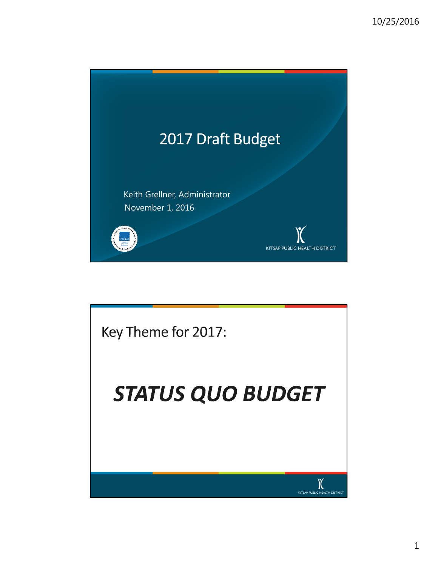

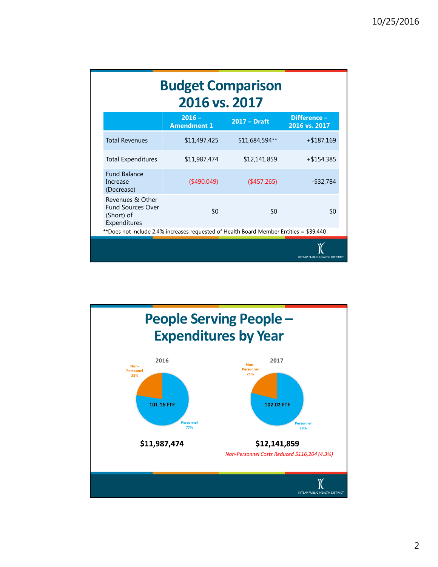|                                                                                        | <b>Budget Comparison</b><br>2016 vs. 2017 |                |                               |
|----------------------------------------------------------------------------------------|-------------------------------------------|----------------|-------------------------------|
|                                                                                        | $2016 -$<br><b>Amendment 1</b>            | $2017 - Draff$ | Difference-<br>2016 vs. 2017  |
| <b>Total Revenues</b>                                                                  | \$11,497,425                              | \$11,684,594** | $+$ \$187,169                 |
| <b>Total Expenditures</b>                                                              | \$11,987,474                              | \$12,141,859   | $+$ \$154,385                 |
| <b>Fund Balance</b><br>Increase<br>(Decrease)                                          | $($ \$490,049)                            | (457, 265)     | $-$ \$32,784                  |
| Revenues & Other<br><b>Fund Sources Over</b><br>(Short) of<br>Expenditures             | \$0                                       | \$0            | \$0                           |
| **Does not include 2.4% increases requested of Health Board Member Entities = \$39,440 |                                           |                |                               |
|                                                                                        |                                           |                | KITSAP PUBLIC HEALTH DISTRICT |

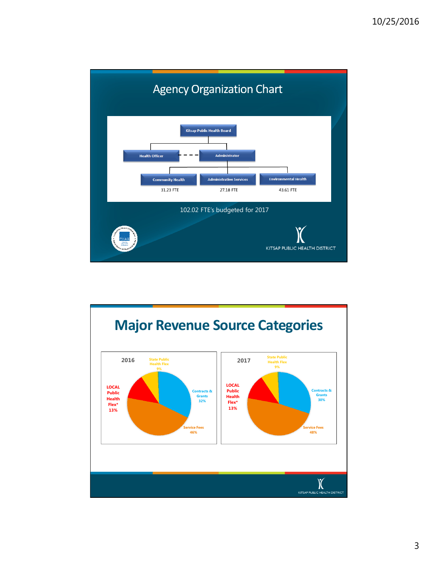



3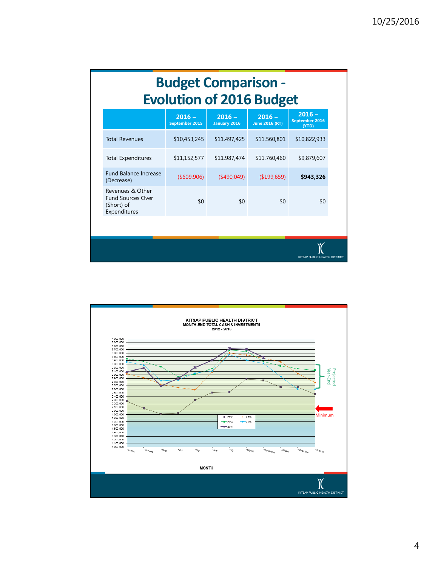| <b>Budget Comparison -</b><br><b>Evolution of 2016 Budget</b>              |                            |                                 |                                   |                                     |  |  |
|----------------------------------------------------------------------------|----------------------------|---------------------------------|-----------------------------------|-------------------------------------|--|--|
|                                                                            | $2016 -$<br>September 2015 | $2016 -$<br><b>January 2016</b> | $2016 -$<br><b>June 2016 (RT)</b> | $2016 -$<br>September 2016<br>(YTD) |  |  |
| <b>Total Revenues</b>                                                      | \$10,453,245               | \$11,497,425                    | \$11,560,801                      | \$10,822,933                        |  |  |
| <b>Total Expenditures</b>                                                  | \$11,152,577               | \$11,987,474                    | \$11,760,460                      | \$9,879,607                         |  |  |
| <b>Fund Balance Increase</b><br>(Decrease)                                 | ( \$609, 906)              | $($ \$490,049)                  | (\$199,659)                       | \$943,326                           |  |  |
| Revenues & Other<br><b>Fund Sources Over</b><br>(Short) of<br>Expenditures | \$0                        | \$0                             | \$0                               | \$0                                 |  |  |
|                                                                            |                            |                                 |                                   |                                     |  |  |
|                                                                            |                            |                                 |                                   | KITSAP PUBLIC HEALTH DISTRICT       |  |  |

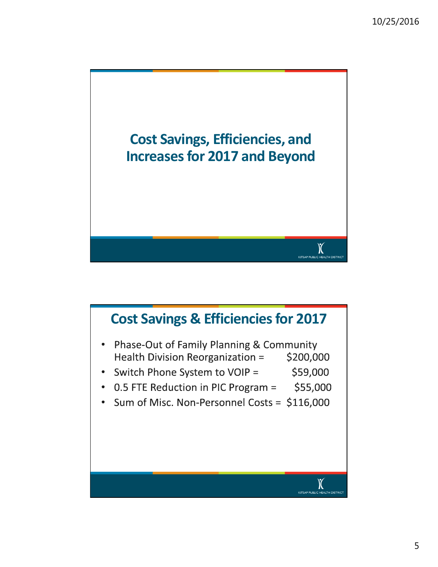

## Cost Savings & Efficiencies for 2017Phase-Out of Family Planning & Community  $\bullet$ Health Division Reorganization = \$200,000 Switch Phone System to VOIP = \$59,000  $\bullet$ 0.5 FTE Reduction in PIC Program = \$55,000  $\bullet$ Sum of Misc. Non-Personnel Costs = \$116,000  $\bullet$ X KITSAP PUBLIC HEALTH DISTRIC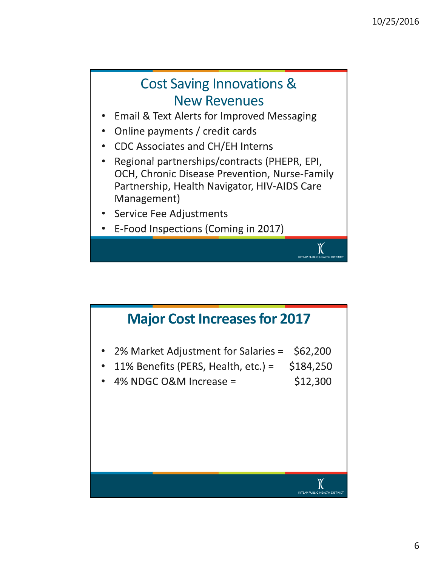## Cost Saving Innovations & New Revenues

- **Email & Text Alerts for Improved Messaging**
- Online payments / credit cards
- **CDC Associates and CH/EH Interns**
- Regional partnerships/contracts (PHEPR, EPI, OCH, Chronic Disease Prevention, Nurse-Family Partnership, Health Navigator, HIV-AIDS Care Management)

KITSAP PUBLIC HEALTH DISTR

- Service Fee Adjustments
- E-Food Inspections (Coming in 2017)